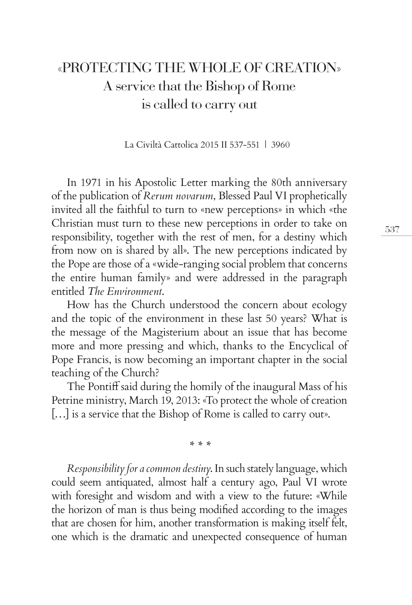## «PROTECTING THE WHOLE OF CREATION» A service that the Bishop of Rome is called to carry out

La Civiltà Cattolica 2015 II 537-551 | 3960

In 1971 in his Apostolic Letter marking the 80th anniversary of the publication of *Rerum novarum*, Blessed Paul VI prophetically invited all the faithful to turn to «new perceptions» in which «the Christian must turn to these new perceptions in order to take on responsibility, together with the rest of men, for a destiny which from now on is shared by all». The new perceptions indicated by the Pope are those of a «wide-ranging social problem that concerns the entire human family» and were addressed in the paragraph entitled *The Environment*.

How has the Church understood the concern about ecology and the topic of the environment in these last 50 years? What is the message of the Magisterium about an issue that has become more and more pressing and which, thanks to the Encyclical of Pope Francis, is now becoming an important chapter in the social teaching of the Church?

The Pontiff said during the homily of the inaugural Mass of his Petrine ministry, March 19, 2013: «To protect the whole of creation […] is a service that the Bishop of Rome is called to carry out».

*\* \* \**

*Responsibility for a common destiny*. In such stately language, which could seem antiquated, almost half a century ago, Paul VI wrote with foresight and wisdom and with a view to the future: «While the horizon of man is thus being modified according to the images that are chosen for him, another transformation is making itself felt, one which is the dramatic and unexpected consequence of human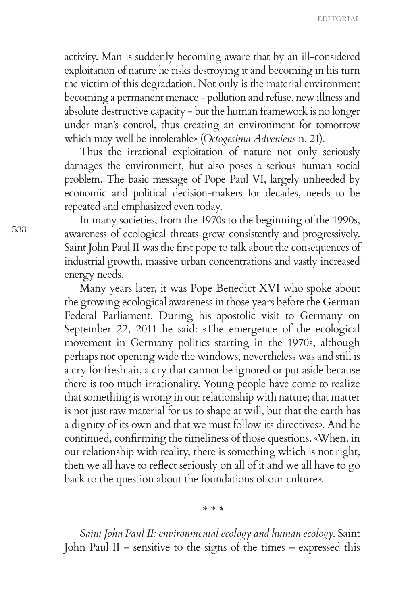activity. Man is suddenly becoming aware that by an ill-considered exploitation of nature he risks destroying it and becoming in his turn the victim of this degradation. Not only is the material environment becoming a permanent menace - pollution and refuse, new illness and absolute destructive capacity - but the human framework is no longer under man's control, thus creating an environment for tomorrow which may well be intolerable» (*Octogesima Adveniens* n. 21).

Thus the irrational exploitation of nature not only seriously damages the environment, but also poses a serious human social problem. The basic message of Pope Paul VI, largely unheeded by economic and political decision-makers for decades, needs to be repeated and emphasized even today.

In many societies, from the 1970s to the beginning of the 1990s, awareness of ecological threats grew consistently and progressively. Saint John Paul II was the first pope to talk about the consequences of industrial growth, massive urban concentrations and vastly increased energy needs.

Many years later, it was Pope Benedict XVI who spoke about the growing ecological awareness in those years before the German Federal Parliament. During his apostolic visit to Germany on September 22, 2011 he said: «The emergence of the ecological movement in Germany politics starting in the 1970s, although perhaps not opening wide the windows, nevertheless was and still is a cry for fresh air, a cry that cannot be ignored or put aside because there is too much irrationality. Young people have come to realize that something is wrong in our relationship with nature; that matter is not just raw material for us to shape at will, but that the earth has a dignity of its own and that we must follow its directives». And he continued, confirming the timeliness of those questions. «When, in our relationship with reality, there is something which is not right, then we all have to reflect seriously on all of it and we all have to go back to the question about the foundations of our culture».

*\* \* \**

*Saint John Paul II: environmental ecology and human ecology*. Saint John Paul II – sensitive to the signs of the times – expressed this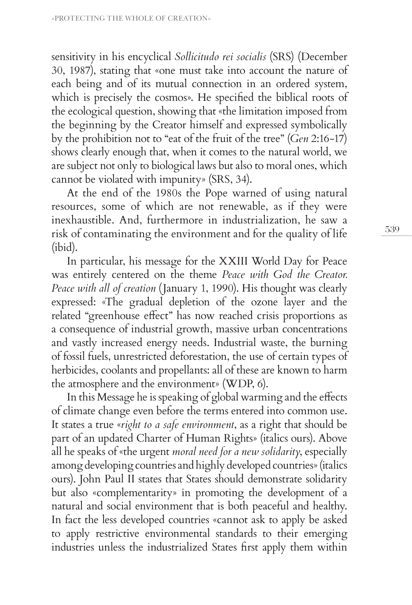sensitivity in his encyclical *Sollicitudo rei socialis* (SRS) (December 30, 1987), stating that «one must take into account the nature of each being and of its mutual connection in an ordered system, which is precisely the cosmos». He specified the biblical roots of the ecological question, showing that «the limitation imposed from the beginning by the Creator himself and expressed symbolically by the prohibition not to "eat of the fruit of the tree" (*Gen* 2:16-17) shows clearly enough that, when it comes to the natural world, we are subject not only to biological laws but also to moral ones, which cannot be violated with impunity» (SRS, 34).

At the end of the 1980s the Pope warned of using natural resources, some of which are not renewable, as if they were inexhaustible. And, furthermore in industrialization, he saw a risk of contaminating the environment and for the quality of life (ibid).

In particular, his message for the XXIII World Day for Peace was entirely centered on the theme *Peace with God the Creator. Peace with all of creation* (January 1, 1990). His thought was clearly expressed: «The gradual depletion of the ozone layer and the related "greenhouse effect" has now reached crisis proportions as a consequence of industrial growth, massive urban concentrations and vastly increased energy needs. Industrial waste, the burning of fossil fuels, unrestricted deforestation, the use of certain types of herbicides, coolants and propellants: all of these are known to harm the atmosphere and the environment» (WDP, 6).

In this Message he is speaking of global warming and the effects of climate change even before the terms entered into common use. It states a true «*right to a safe environment*, as a right that should be part of an updated Charter of Human Rights» (italics ours). Above all he speaks of «the urgent *moral need for a new solidarity*, especially among developing countries and highly developed countries» (italics ours). John Paul II states that States should demonstrate solidarity but also «complementarity» in promoting the development of a natural and social environment that is both peaceful and healthy. In fact the less developed countries «cannot ask to apply be asked to apply restrictive environmental standards to their emerging industries unless the industrialized States first apply them within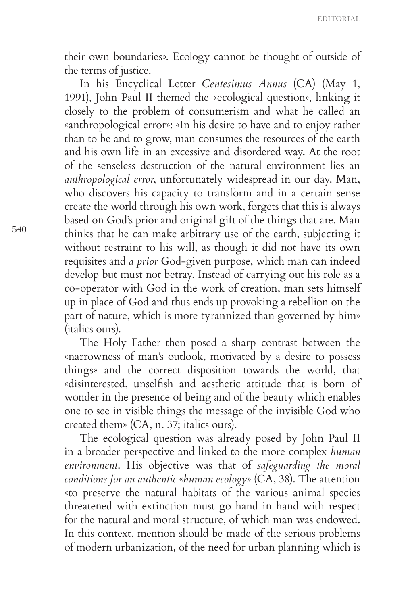their own boundaries». Ecology cannot be thought of outside of the terms of justice.

In his Encyclical Letter *Centesimus Annus* (CA) (May 1, 1991), John Paul II themed the «ecological question», linking it closely to the problem of consumerism and what he called an «anthropological error»: «In his desire to have and to enjoy rather than to be and to grow, man consumes the resources of the earth and his own life in an excessive and disordered way. At the root of the senseless destruction of the natural environment lies an *anthropological error*, unfortunately widespread in our day. Man, who discovers his capacity to transform and in a certain sense create the world through his own work, forgets that this is always based on God's prior and original gift of the things that are. Man thinks that he can make arbitrary use of the earth, subjecting it without restraint to his will, as though it did not have its own requisites and *a prior* God-given purpose, which man can indeed develop but must not betray. Instead of carrying out his role as a co-operator with God in the work of creation, man sets himself up in place of God and thus ends up provoking a rebellion on the part of nature, which is more tyrannized than governed by him» (italics ours).

The Holy Father then posed a sharp contrast between the «narrowness of man's outlook, motivated by a desire to possess things» and the correct disposition towards the world, that «disinterested, unselfish and aesthetic attitude that is born of wonder in the presence of being and of the beauty which enables one to see in visible things the message of the invisible God who created them» (CA, n. 37; italics ours).

The ecological question was already posed by John Paul II in a broader perspective and linked to the more complex *human environment*. His objective was that of *safeguarding the moral conditions for an authentic* «*human ecology*» (CA, 38). The attention «to preserve the natural habitats of the various animal species threatened with extinction must go hand in hand with respect for the natural and moral structure, of which man was endowed. In this context, mention should be made of the serious problems of modern urbanization, of the need for urban planning which is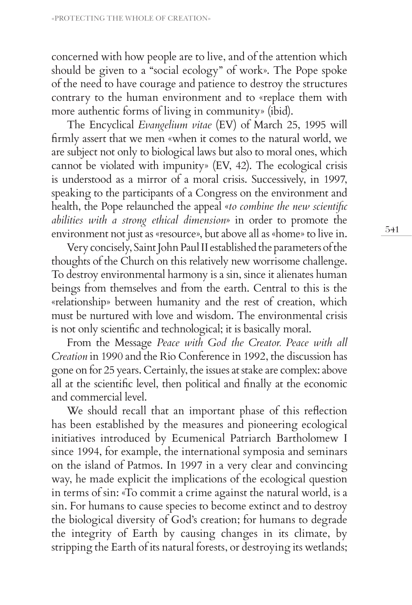concerned with how people are to live, and of the attention which should be given to a "social ecology" of work». The Pope spoke of the need to have courage and patience to destroy the structures contrary to the human environment and to «replace them with more authentic forms of living in community» (ibid).

The Encyclical *Evangelium vitae* (EV) of March 25, 1995 will firmly assert that we men «when it comes to the natural world, we are subject not only to biological laws but also to moral ones, which cannot be violated with impunity» (EV, 42). The ecological crisis is understood as a mirror of a moral crisis. Successively, in 1997, speaking to the participants of a Congress on the environment and health, the Pope relaunched the appeal «*to combine the new scientific abilities with a strong ethical dimension*» in order to promote the environment not just as «resource», but above all as «home» to live in.

Very concisely, Saint John Paul II established the parameters of the thoughts of the Church on this relatively new worrisome challenge. To destroy environmental harmony is a sin, since it alienates human beings from themselves and from the earth. Central to this is the «relationship» between humanity and the rest of creation, which must be nurtured with love and wisdom. The environmental crisis is not only scientific and technological; it is basically moral.

From the Message *Peace with God the Creator. Peace with all Creation* in 1990 and the Rio Conference in 1992, the discussion has gone on for 25 years. Certainly, the issues at stake are complex: above all at the scientific level, then political and finally at the economic and commercial level.

We should recall that an important phase of this reflection has been established by the measures and pioneering ecological initiatives introduced by Ecumenical Patriarch Bartholomew I since 1994, for example, the international symposia and seminars on the island of Patmos. In 1997 in a very clear and convincing way, he made explicit the implications of the ecological question in terms of sin: «To commit a crime against the natural world, is a sin. For humans to cause species to become extinct and to destroy the biological diversity of God's creation; for humans to degrade the integrity of Earth by causing changes in its climate, by stripping the Earth of its natural forests, or destroying its wetlands;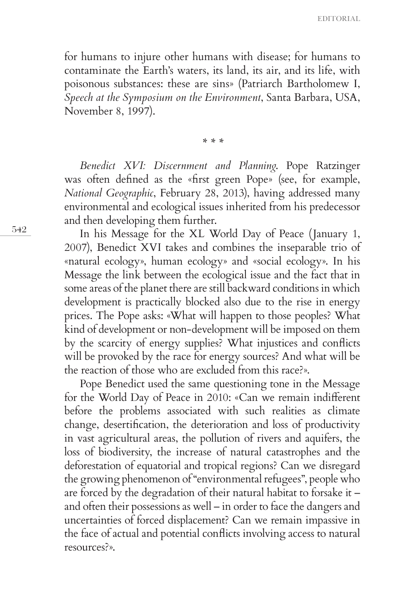EDITORIAL

for humans to injure other humans with disease; for humans to contaminate the Earth's waters, its land, its air, and its life, with poisonous substances: these are sins» (Patriarch Bartholomew I, *Speech at the Symposium on the Environment*, Santa Barbara, USA, November 8, 1997).

*\* \* \**

*Benedict XVI: Discernment and Planning*. Pope Ratzinger was often defined as the «first green Pope» (see, for example, *National Geographic*, February 28, 2013), having addressed many environmental and ecological issues inherited from his predecessor and then developing them further.

In his Message for the XL World Day of Peace (January 1, 2007), Benedict XVI takes and combines the inseparable trio of «natural ecology», human ecology» and «social ecology». In his Message the link between the ecological issue and the fact that in some areas of the planet there are still backward conditions in which development is practically blocked also due to the rise in energy prices. The Pope asks: «What will happen to those peoples? What kind of development or non-development will be imposed on them by the scarcity of energy supplies? What injustices and conflicts will be provoked by the race for energy sources? And what will be the reaction of those who are excluded from this race?».

Pope Benedict used the same questioning tone in the Message for the World Day of Peace in 2010: «Can we remain indifferent before the problems associated with such realities as climate change, desertification, the deterioration and loss of productivity in vast agricultural areas, the pollution of rivers and aquifers, the loss of biodiversity, the increase of natural catastrophes and the deforestation of equatorial and tropical regions? Can we disregard the growing phenomenon of "environmental refugees", people who are forced by the degradation of their natural habitat to forsake it – and often their possessions as well – in order to face the dangers and uncertainties of forced displacement? Can we remain impassive in the face of actual and potential conflicts involving access to natural resources?».

542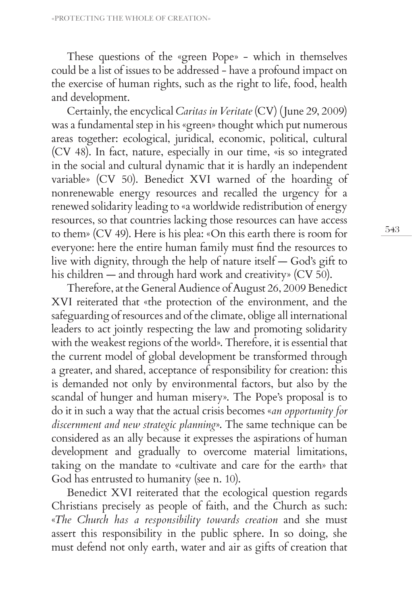These questions of the «green Pope» - which in themselves could be a list of issues to be addressed - have a profound impact on the exercise of human rights, such as the right to life, food, health and development.

Certainly, the encyclical *Caritas in Veritate* (CV) (June 29, 2009) was a fundamental step in his «green» thought which put numerous areas together: ecological, juridical, economic, political, cultural (CV 48). In fact, nature, especially in our time, «is so integrated in the social and cultural dynamic that it is hardly an independent variable» (CV 50). Benedict XVI warned of the hoarding of nonrenewable energy resources and recalled the urgency for a renewed solidarity leading to «a worldwide redistribution of energy resources, so that countries lacking those resources can have access to them» (CV 49). Here is his plea: «On this earth there is room for everyone: here the entire human family must find the resources to live with dignity, through the help of nature itself — God's gift to his children — and through hard work and creativity» (CV 50).

Therefore, at the General Audience of August 26, 2009 Benedict XVI reiterated that «the protection of the environment, and the safeguarding of resources and of the climate, oblige all international leaders to act jointly respecting the law and promoting solidarity with the weakest regions of the world». Therefore, it is essential that the current model of global development be transformed through a greater, and shared, acceptance of responsibility for creation: this is demanded not only by environmental factors, but also by the scandal of hunger and human misery». The Pope's proposal is to do it in such a way that the actual crisis becomes «*an opportunity for discernment and new strategic planning*». The same technique can be considered as an ally because it expresses the aspirations of human development and gradually to overcome material limitations, taking on the mandate to «cultivate and care for the earth» that God has entrusted to humanity (see n. 10).

Benedict XVI reiterated that the ecological question regards Christians precisely as people of faith, and the Church as such: «*The Church has a responsibility towards creation* and she must assert this responsibility in the public sphere. In so doing, she must defend not only earth, water and air as gifts of creation that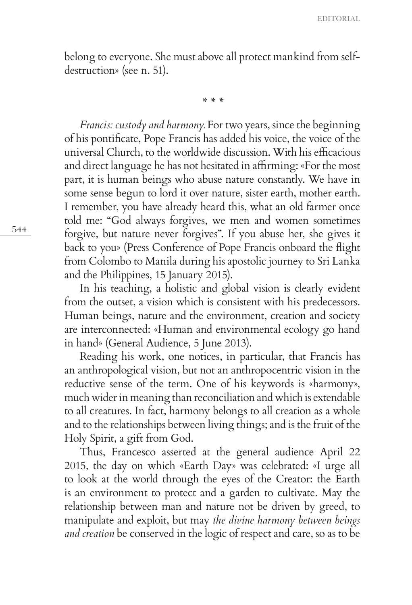belong to everyone. She must above all protect mankind from selfdestruction» (see n. 51).

*\* \* \**

*Francis: custody and harmony.* For two years, since the beginning of his pontificate, Pope Francis has added his voice, the voice of the universal Church, to the worldwide discussion. With his efficacious and direct language he has not hesitated in affirming: «For the most part, it is human beings who abuse nature constantly. We have in some sense begun to lord it over nature, sister earth, mother earth. I remember, you have already heard this, what an old farmer once told me: "God always forgives, we men and women sometimes forgive, but nature never forgives". If you abuse her, she gives it back to you» (Press Conference of Pope Francis onboard the flight from Colombo to Manila during his apostolic journey to Sri Lanka and the Philippines, 15 January 2015).

In his teaching, a holistic and global vision is clearly evident from the outset, a vision which is consistent with his predecessors. Human beings, nature and the environment, creation and society are interconnected: «Human and environmental ecology go hand in hand» (General Audience, 5 June 2013).

Reading his work, one notices, in particular, that Francis has an anthropological vision, but not an anthropocentric vision in the reductive sense of the term. One of his keywords is «harmony», much wider in meaning than reconciliation and which is extendable to all creatures. In fact, harmony belongs to all creation as a whole and to the relationships between living things; and is the fruit of the Holy Spirit, a gift from God.

Thus, Francesco asserted at the general audience April 22 2015, the day on which «Earth Day» was celebrated: «I urge all to look at the world through the eyes of the Creator: the Earth is an environment to protect and a garden to cultivate. May the relationship between man and nature not be driven by greed, to manipulate and exploit, but may *the divine harmony between beings and creation* be conserved in the logic of respect and care, so as to be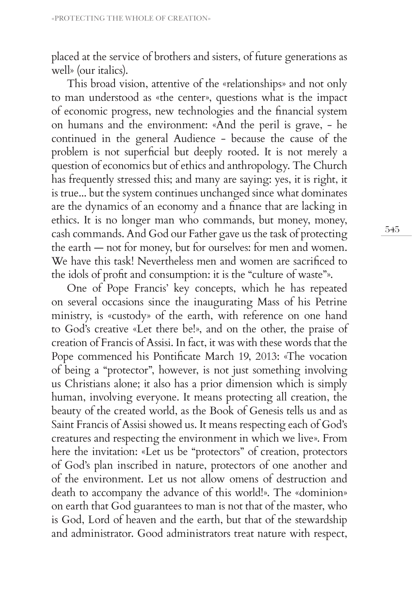placed at the service of brothers and sisters, of future generations as well» (our italics).

This broad vision, attentive of the «relationships» and not only to man understood as «the center», questions what is the impact of economic progress, new technologies and the financial system on humans and the environment: «And the peril is grave, - he continued in the general Audience - because the cause of the problem is not superficial but deeply rooted. It is not merely a question of economics but of ethics and anthropology. The Church has frequently stressed this; and many are saying: yes, it is right, it is true... but the system continues unchanged since what dominates are the dynamics of an economy and a finance that are lacking in ethics. It is no longer man who commands, but money, money, cash commands. And God our Father gave us the task of protecting the earth — not for money, but for ourselves: for men and women. We have this task! Nevertheless men and women are sacrificed to the idols of profit and consumption: it is the "culture of waste"».

One of Pope Francis' key concepts, which he has repeated on several occasions since the inaugurating Mass of his Petrine ministry, is «custody» of the earth, with reference on one hand to God's creative «Let there be!», and on the other, the praise of creation of Francis of Assisi. In fact, it was with these words that the Pope commenced his Pontificate March 19, 2013: «The vocation of being a "protector", however, is not just something involving us Christians alone; it also has a prior dimension which is simply human, involving everyone. It means protecting all creation, the beauty of the created world, as the Book of Genesis tells us and as Saint Francis of Assisi showed us. It means respecting each of God's creatures and respecting the environment in which we live». From here the invitation: «Let us be "protectors" of creation, protectors of God's plan inscribed in nature, protectors of one another and of the environment. Let us not allow omens of destruction and death to accompany the advance of this world!». The «dominion» on earth that God guarantees to man is not that of the master, who is God, Lord of heaven and the earth, but that of the stewardship and administrator. Good administrators treat nature with respect,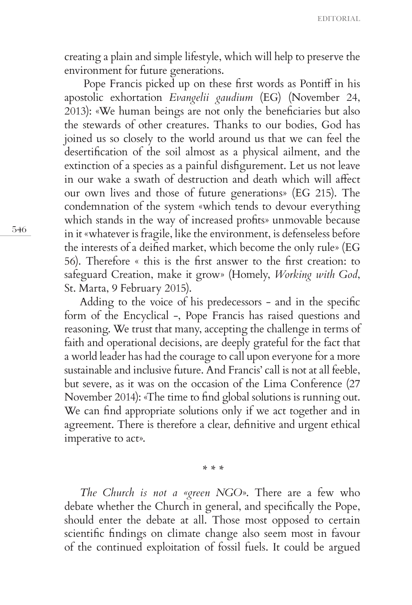creating a plain and simple lifestyle, which will help to preserve the environment for future generations.

 Pope Francis picked up on these first words as Pontiff in his apostolic exhortation *Evangelii gaudium* (EG) (November 24, 2013): «We human beings are not only the beneficiaries but also the stewards of other creatures. Thanks to our bodies, God has joined us so closely to the world around us that we can feel the desertification of the soil almost as a physical ailment, and the extinction of a species as a painful disfigurement. Let us not leave in our wake a swath of destruction and death which will affect our own lives and those of future generations» (EG 215). The condemnation of the system «which tends to devour everything which stands in the way of increased profits» unmovable because in it «whatever is fragile, like the environment, is defenseless before the interests of a deified market, which become the only rule» (EG 56). Therefore « this is the first answer to the first creation: to safeguard Creation, make it grow» (Homely, *Working with God*, St. Marta, 9 February 2015).

Adding to the voice of his predecessors - and in the specific form of the Encyclical -, Pope Francis has raised questions and reasoning. We trust that many, accepting the challenge in terms of faith and operational decisions, are deeply grateful for the fact that a world leader has had the courage to call upon everyone for a more sustainable and inclusive future. And Francis' call is not at all feeble, but severe, as it was on the occasion of the Lima Conference (27 November 2014): «The time to find global solutions is running out. We can find appropriate solutions only if we act together and in agreement. There is therefore a clear, definitive and urgent ethical imperative to act».

*\* \* \**

*The Church is not a «green NGO*». There are a few who debate whether the Church in general, and specifically the Pope, should enter the debate at all. Those most opposed to certain scientific findings on climate change also seem most in favour of the continued exploitation of fossil fuels. It could be argued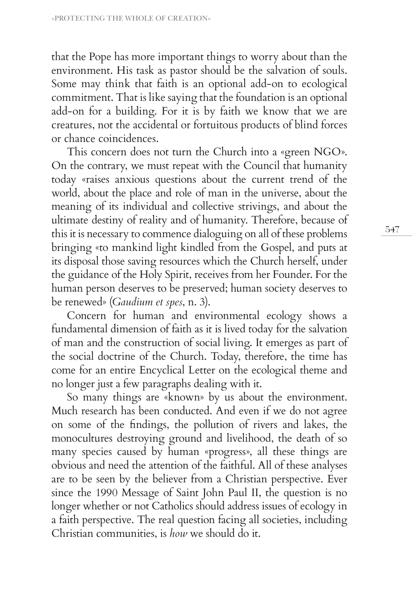that the Pope has more important things to worry about than the environment. His task as pastor should be the salvation of souls. Some may think that faith is an optional add-on to ecological commitment. That is like saying that the foundation is an optional add-on for a building. For it is by faith we know that we are creatures, not the accidental or fortuitous products of blind forces or chance coincidences.

This concern does not turn the Church into a «green NGO». On the contrary, we must repeat with the Council that humanity today «raises anxious questions about the current trend of the world, about the place and role of man in the universe, about the meaning of its individual and collective strivings, and about the ultimate destiny of reality and of humanity. Therefore, because of this it is necessary to commence dialoguing on all of these problems bringing «to mankind light kindled from the Gospel, and puts at its disposal those saving resources which the Church herself, under the guidance of the Holy Spirit, receives from her Founder. For the human person deserves to be preserved; human society deserves to be renewed» (*Gaudium et spes*, n. 3).

Concern for human and environmental ecology shows a fundamental dimension of faith as it is lived today for the salvation of man and the construction of social living. It emerges as part of the social doctrine of the Church. Today, therefore, the time has come for an entire Encyclical Letter on the ecological theme and no longer just a few paragraphs dealing with it.

So many things are «known» by us about the environment. Much research has been conducted. And even if we do not agree on some of the findings, the pollution of rivers and lakes, the monocultures destroying ground and livelihood, the death of so many species caused by human «progress», all these things are obvious and need the attention of the faithful. All of these analyses are to be seen by the believer from a Christian perspective. Ever since the 1990 Message of Saint John Paul II, the question is no longer whether or not Catholics should address issues of ecology in a faith perspective. The real question facing all societies, including Christian communities, is *how* we should do it.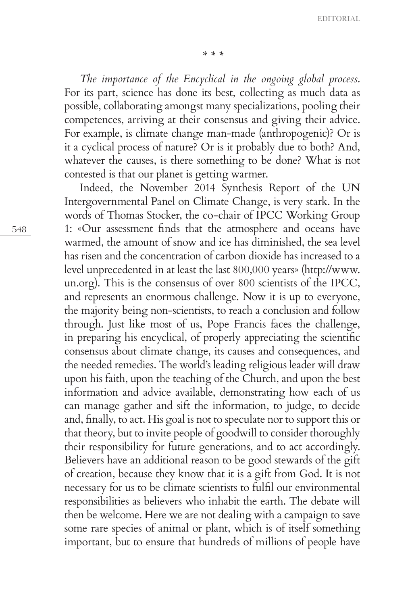*\* \* \**

*The importance of the Encyclical in the ongoing global process*. For its part, science has done its best, collecting as much data as possible, collaborating amongst many specializations, pooling their competences, arriving at their consensus and giving their advice. For example, is climate change man-made (anthropogenic)? Or is it a cyclical process of nature? Or is it probably due to both? And, whatever the causes, is there something to be done? What is not contested is that our planet is getting warmer.

Indeed, the November 2014 Synthesis Report of the UN Intergovernmental Panel on Climate Change, is very stark. In the words of Thomas Stocker, the co-chair of IPCC Working Group 1: «Our assessment finds that the atmosphere and oceans have warmed, the amount of snow and ice has diminished, the sea level has risen and the concentration of carbon dioxide has increased to a level unprecedented in at least the last 800,000 years» (http://www. un.org). This is the consensus of over 800 scientists of the IPCC, and represents an enormous challenge. Now it is up to everyone, the majority being non-scientists, to reach a conclusion and follow through. Just like most of us, Pope Francis faces the challenge, in preparing his encyclical, of properly appreciating the scientific consensus about climate change, its causes and consequences, and the needed remedies. The world's leading religious leader will draw upon his faith, upon the teaching of the Church, and upon the best information and advice available, demonstrating how each of us can manage gather and sift the information, to judge, to decide and, finally, to act. His goal is not to speculate nor to support this or that theory, but to invite people of goodwill to consider thoroughly their responsibility for future generations, and to act accordingly. Believers have an additional reason to be good stewards of the gift of creation, because they know that it is a gift from God. It is not necessary for us to be climate scientists to fulfil our environmental responsibilities as believers who inhabit the earth. The debate will then be welcome. Here we are not dealing with a campaign to save some rare species of animal or plant, which is of itself something important, but to ensure that hundreds of millions of people have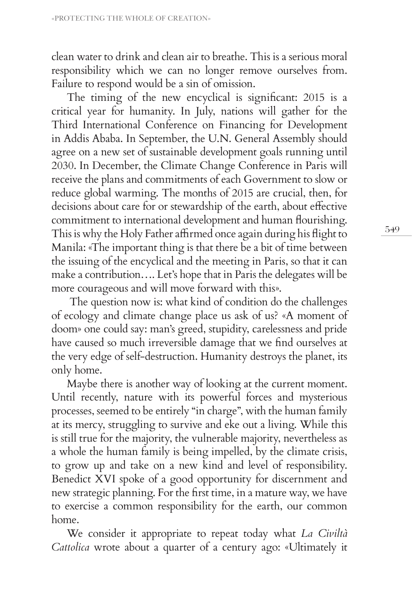clean water to drink and clean air to breathe. This is a serious moral responsibility which we can no longer remove ourselves from. Failure to respond would be a sin of omission.

The timing of the new encyclical is significant: 2015 is a critical year for humanity. In July, nations will gather for the Third International Conference on Financing for Development in Addis Ababa. In September, the U.N. General Assembly should agree on a new set of sustainable development goals running until 2030. In December, the Climate Change Conference in Paris will receive the plans and commitments of each Government to slow or reduce global warming. The months of 2015 are crucial, then, for decisions about care for or stewardship of the earth, about effective commitment to international development and human flourishing. This is why the Holy Father affirmed once again during his flight to Manila: «The important thing is that there be a bit of time between the issuing of the encyclical and the meeting in Paris, so that it can make a contribution…. Let's hope that in Paris the delegates will be more courageous and will move forward with this».

 The question now is: what kind of condition do the challenges of ecology and climate change place us ask of us? «A moment of doom» one could say: man's greed, stupidity, carelessness and pride have caused so much irreversible damage that we find ourselves at the very edge of self-destruction. Humanity destroys the planet, its only home.

Maybe there is another way of looking at the current moment. Until recently, nature with its powerful forces and mysterious processes, seemed to be entirely "in charge", with the human family at its mercy, struggling to survive and eke out a living. While this is still true for the majority, the vulnerable majority, nevertheless as a whole the human family is being impelled, by the climate crisis, to grow up and take on a new kind and level of responsibility. Benedict XVI spoke of a good opportunity for discernment and new strategic planning. For the first time, in a mature way, we have to exercise a common responsibility for the earth, our common home.

We consider it appropriate to repeat today what *La Civiltà Cattolica* wrote about a quarter of a century ago: «Ultimately it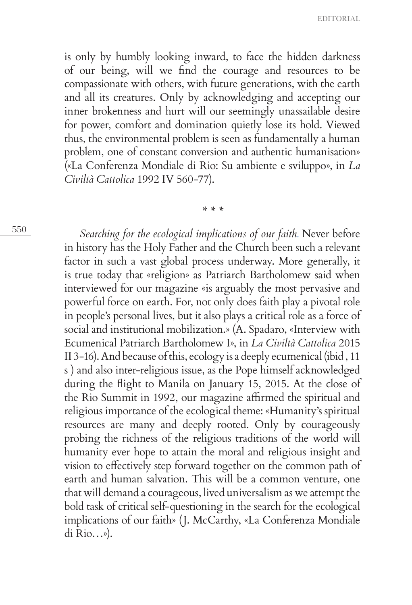is only by humbly looking inward, to face the hidden darkness of our being, will we find the courage and resources to be compassionate with others, with future generations, with the earth and all its creatures. Only by acknowledging and accepting our inner brokenness and hurt will our seemingly unassailable desire for power, comfort and domination quietly lose its hold. Viewed thus, the environmental problem is seen as fundamentally a human problem, one of constant conversion and authentic humanisation» («La Conferenza Mondiale di Rio: Su ambiente e sviluppo», in *La Civiltà Cattolica* 1992 IV 560-77).

*\* \* \**

550

*Searching for the ecological implications of our faith.* Never before in history has the Holy Father and the Church been such a relevant factor in such a vast global process underway. More generally, it is true today that «religion» as Patriarch Bartholomew said when interviewed for our magazine «is arguably the most pervasive and powerful force on earth. For, not only does faith play a pivotal role in people's personal lives, but it also plays a critical role as a force of social and institutional mobilization.» (A. Spadaro, «Interview with Ecumenical Patriarch Bartholomew I», in *La Civiltà Cattolica* 2015 II 3-16). And because of this, ecology is a deeply ecumenical (ibid , 11 s ) and also inter-religious issue, as the Pope himself acknowledged during the flight to Manila on January 15, 2015. At the close of the Rio Summit in 1992, our magazine affirmed the spiritual and religious importance of the ecological theme: «Humanity's spiritual resources are many and deeply rooted. Only by courageously probing the richness of the religious traditions of the world will humanity ever hope to attain the moral and religious insight and vision to effectively step forward together on the common path of earth and human salvation. This will be a common venture, one that will demand a courageous, lived universalism as we attempt the bold task of critical self-questioning in the search for the ecological implications of our faith» (J. McCarthy, «La Conferenza Mondiale di Rio…»).